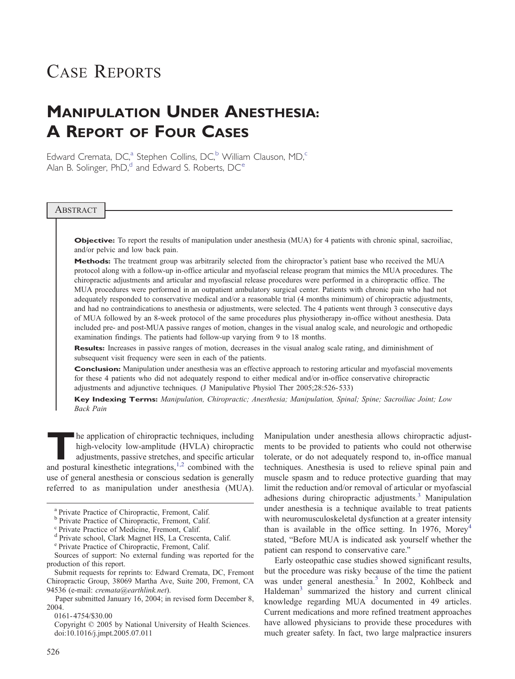# CASE REPORTS

# MANIPULATION UNDER ANESTHESIA: A REPORT OF FOUR CASES

Edward Cremata, DC,<sup>a</sup> Stephen Collins, DC,<sup>b</sup> William Clauson, MD,<sup>c</sup> Alan B. Solinger,  $PhD<sub>1</sub><sup>d</sup>$  and Edward S. Roberts, DC<sup>e</sup>

### ABSTRACT

Objective: To report the results of manipulation under anesthesia (MUA) for 4 patients with chronic spinal, sacroiliac, and/or pelvic and low back pain.

Methods: The treatment group was arbitrarily selected from the chiropractor's patient base who received the MUA protocol along with a follow-up in-office articular and myofascial release program that mimics the MUA procedures. The chiropractic adjustments and articular and myofascial release procedures were performed in a chiropractic office. The MUA procedures were performed in an outpatient ambulatory surgical center. Patients with chronic pain who had not adequately responded to conservative medical and/or a reasonable trial (4 months minimum) of chiropractic adjustments, and had no contraindications to anesthesia or adjustments, were selected. The 4 patients went through 3 consecutive days of MUA followed by an 8-week protocol of the same procedures plus physiotherapy in-office without anesthesia. Data included pre- and post-MUA passive ranges of motion, changes in the visual analog scale, and neurologic and orthopedic examination findings. The patients had follow-up varying from 9 to 18 months.

Results: Increases in passive ranges of motion, decreases in the visual analog scale rating, and diminishment of subsequent visit frequency were seen in each of the patients.

Conclusion: Manipulation under anesthesia was an effective approach to restoring articular and myofascial movements for these 4 patients who did not adequately respond to either medical and/or in-office conservative chiropractic adjustments and adjunctive techniques. (J Manipulative Physiol Ther 2005;28:526-533)

Key Indexing Terms: Manipulation, Chiropractic; Anesthesia; Manipulation, Spinal; Spine; Sacroiliac Joint; Low Back Pain

The application of chiropractic techniques, including<br>high-velocity low-amplitude (HVLA) chiropractic<br>adjustments, passive stretches, and specific articular<br>and postural kinesthetic integrations <sup>1,2</sup> combined with the high-velocity low-amplitude (HVLA) chiropractic adjustments, passive stretc[hes,](#page-6-0) and specific articular and postural kinesthetic integrations, $1,2$  combined with the use of general anesthesia or conscious sedation is generally referred to as manipulation under anesthesia (MUA).

0161-4754/\$30.00

Manipulation under anesthesia allows chiropractic adjustments to be provided to patients who could not otherwise tolerate, or do not adequately respond to, in-office manual techniques. Anesthesia is used to relieve spinal pain and muscle spasm and to reduce protective guarding that may limit the reduction and/or removal of artic[ular](#page-7-0) or myofascial adhesions during chiropractic adjustments.<sup>3</sup> Manipulation under anesthesia is a technique available to treat patients with neuromusculoskeletal dysfunction at a greater intens[ity](#page-7-0) than is available in the office setting. In 1976, Morey<sup>4</sup> stated, "Before MUA is indicated ask yourself whether the patient can respond to conservative care."

Early osteopathic case studies showed significant results, but the procedure was risky [becaus](#page-7-0)e of the time the patient was u[nder](#page-7-0) general anesthesia.<sup>5</sup> In 2002, Kohlbeck and  $Haldeman<sup>3</sup>$  summarized the history and current clinical knowledge regarding MUA documented in 49 articles. Current medications and more refined treatment approaches have allowed physicians to provide these procedures with much greater safety. In fact, two large malpractice insurers

<sup>&</sup>lt;sup>a</sup> Private Practice of Chiropractic, Fremont, Calif.<br><sup>b</sup> Private Practice of Chiropractic, Fremont, Calif.<br><sup>c</sup> Private Practice of Medicine, Fremont, Calif.<br><sup>d</sup> Private school, Clark Magnet HS, La Crescenta, Calif.<br><sup>e</sup> Pr

Sources of support: No external funding was reported for the production of this report.

Submit requests for reprints to: Edward Cremata, DC, Fremont Chiropractic Group, 38069 Martha Ave, Suite 200, Fremont, CA 94536 (e-mail: *cremata@earthlink.net*).

Paper submitted January 16, 2004; in revised form December 8, 2004.

Copyright © 2005 by National University of Health Sciences. doi:10.1016/j.jmpt.2005.07.011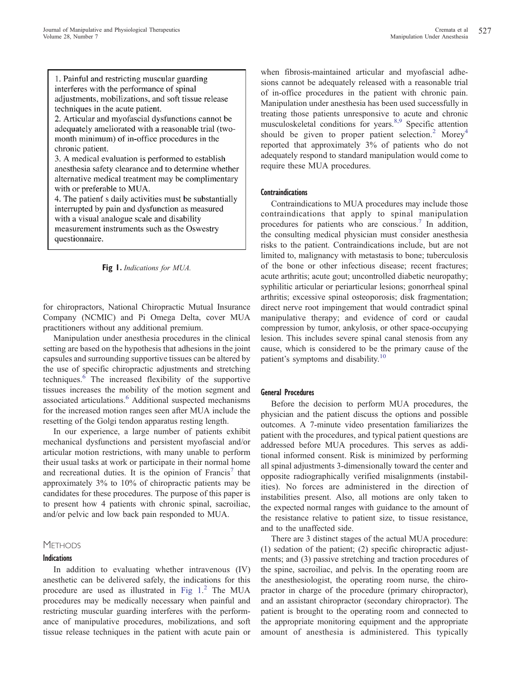1. Painful and restricting muscular guarding interferes with the performance of spinal adjustments, mobilizations, and soft tissue release techniques in the acute patient.

2. Articular and myofascial dysfunctions cannot be adequately ameliorated with a reasonable trial (twomonth minimum) of in-office procedures in the chronic patient.

3. A medical evaluation is performed to establish anesthesia safety clearance and to determine whether alternative medical treatment may be complimentary with or preferable to MUA.

4. The patient s daily activities must be substantially interrupted by pain and dysfunction as measured with a visual analogue scale and disability measurement instruments such as the Oswestry questionnaire.

## Fig 1. Indications for MUA.

for chiropractors, National Chiropractic Mutual Insurance Company (NCMIC) and Pi Omega Delta, cover MUA practitioners without any additional premium.

Manipulation under anesthesia procedures in the clinical setting are based on the hypothesis that adhesions in the joint capsules and surrounding supportive tissues can be altered by the use of [spec](#page-7-0)ific chiropractic adjustments and stretching techniques. <sup>6</sup> The increased flexibility of the supportive tissues increases the [mob](#page-7-0)ility of the motion segment and associated articulations.<sup>6</sup> Additional suspected mechanisms for the increased motion ranges seen after MUA include the resetting of the Golgi tendon apparatus resting length.

In our experience, a large number of patients exhibit mechanical dysfunctions and persistent myofascial and/or articular motion restrictions, with many unable to perform their usual tasks at work or participate in their normal [hom](#page-7-0)e and recreational duties. It is the opinion of Francis<sup>7</sup> that approximately 3% to 10% of chiropractic patients may be candidates for these procedures. The purpose of this paper is to present how 4 patients with chronic spinal, sacroiliac, and/or pelvic and low back pain responded to MUA.

## **METHODS**

#### **Indications**

In addition to evaluating whether intravenous (IV) anesthetic can be delivered safely, the indi[cation](#page-7-0)s for this procedure are used as illustrated in Fig  $1<sup>2</sup>$  The MUA procedures may be medically necessary when painful and restricting muscular guarding interferes with the performance of manipulative procedures, mobilizations, and soft tissue release techniques in the patient with acute pain or

when fibrosis-maintained articular and myofascial adhesions cannot be adequately released with a reasonable trial of in-office procedures in the patient with chronic pain. Manipulation under anesthesia has been used successfully in treating those patients unresponsive [to](#page-7-0) acute and chronic musculoskeletal conditions for years.<sup>8,9</sup> Specif[ic](#page-7-0) attenti[on](#page-7-0) should be given to proper patient selection.<sup>2</sup> Morey<sup>4</sup> reported that approximately 3% of patients who do not adequately respond to standard manipulation would come to require these MUA procedures.

#### **Contraindications**

Contraindications to MUA procedures may include those contraindications that apply to spinal manipulation procedures for patients who are conscio[us.](#page-7-0)<sup>7</sup> In addition, the consulting medical physician must consider anesthesia risks to the patient. Contraindications include, but are not limited to, malignancy with metastasis to bone; tuberculosis of the bone or other infectious disease; recent fractures; acute arthritis; acute gout; uncontrolled diabetic neuropathy; syphilitic articular or periarticular lesions; gonorrheal spinal arthritis; excessive spinal osteoporosis; disk fragmentation; direct nerve root impingement that would contradict spinal manipulative therapy; and evidence of cord or caudal compression by tumor, ankylosis, or other space-occupying lesion. This includes severe spinal canal stenosis from any cause, which is considered to be [the](#page-7-0) primary cause of the patient's symptoms and disability.<sup>10</sup>

## General Procedures

Before the decision to perform MUA procedures, the physician and the patient discuss the options and possible outcomes. A 7-minute video presentation familiarizes the patient with the procedures, and typical patient questions are addressed before MUA procedures. This serves as additional informed consent. Risk is minimized by performing all spinal adjustments 3-dimensionally toward the center and opposite radiographically verified misalignments (instabilities). No forces are administered in the direction of instabilities present. Also, all motions are only taken to the expected normal ranges with guidance to the amount of the resistance relative to patient size, to tissue resistance, and to the unaffected side.

There are 3 distinct stages of the actual MUA procedure: (1) sedation of the patient; (2) specific chiropractic adjustments; and (3) passive stretching and traction procedures of the spine, sacroiliac, and pelvis. In the operating room are the anesthesiologist, the operating room nurse, the chiropractor in charge of the procedure (primary chiropractor), and an assistant chiropractor (secondary chiropractor). The patient is brought to the operating room and connected to the appropriate monitoring equipment and the appropriate amount of anesthesia is administered. This typically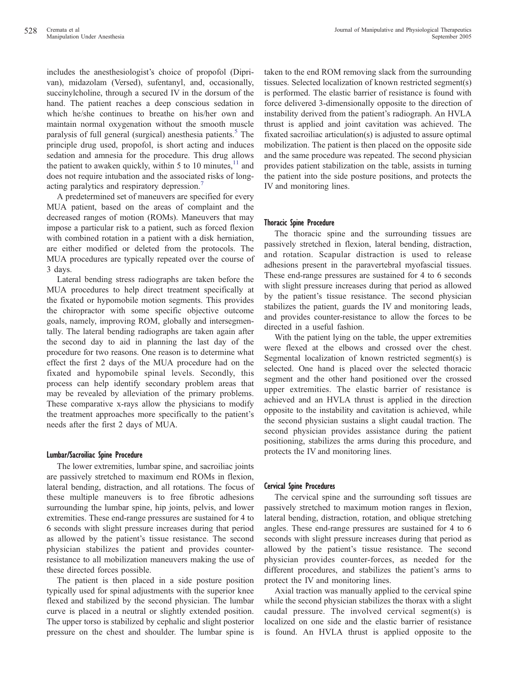includes the anesthesiologist's choice of propofol (Diprivan), midazolam (Versed), sufentanyl, and, occasionally, succinylcholine, through a secured IV in the dorsum of the hand. The patient reaches a deep conscious sedation in which he/she continues to breathe on his/her own and maintain normal oxygenation without the smooth [muscle](#page-7-0) paralysis of full general (surgical) anesthesia patients.<sup>5</sup> The principle drug used, propofol, is short acting and induces sedation and amnesia for the procedure. This drug [allow](#page-7-0)s the patient to awaken quickly, within 5 to 10 minutes,  $11$  and does not require intubation and the associ[ated](#page-7-0) risks of longacting paralytics and respiratory depression.<sup>7</sup>

A predetermined set of maneuvers are specified for every MUA patient, based on the areas of complaint and the decreased ranges of motion (ROMs). Maneuvers that may impose a particular risk to a patient, such as forced flexion with combined rotation in a patient with a disk herniation, are either modified or deleted from the protocols. The MUA procedures are typically repeated over the course of 3 days.

Lateral bending stress radiographs are taken before the MUA procedures to help direct treatment specifically at the fixated or hypomobile motion segments. This provides the chiropractor with some specific objective outcome goals, namely, improving ROM, globally and intersegmentally. The lateral bending radiographs are taken again after the second day to aid in planning the last day of the procedure for two reasons. One reason is to determine what effect the first 2 days of the MUA procedure had on the fixated and hypomobile spinal levels. Secondly, this process can help identify secondary problem areas that may be revealed by alleviation of the primary problems. These comparative x-rays allow the physicians to modify the treatment approaches more specifically to the patient's needs after the first 2 days of MUA.

## Lumbar/Sacroiliac Spine Procedure

The lower extremities, lumbar spine, and sacroiliac joints are passively stretched to maximum end ROMs in flexion, lateral bending, distraction, and all rotations. The focus of these multiple maneuvers is to free fibrotic adhesions surrounding the lumbar spine, hip joints, pelvis, and lower extremities. These end-range pressures are sustained for 4 to 6 seconds with slight pressure increases during that period as allowed by the patient's tissue resistance. The second physician stabilizes the patient and provides counterresistance to all mobilization maneuvers making the use of these directed forces possible.

The patient is then placed in a side posture position typically used for spinal adjustments with the superior knee flexed and stabilized by the second physician. The lumbar curve is placed in a neutral or slightly extended position. The upper torso is stabilized by cephalic and slight posterior pressure on the chest and shoulder. The lumbar spine is taken to the end ROM removing slack from the surrounding tissues. Selected localization of known restricted segment(s) is performed. The elastic barrier of resistance is found with force delivered 3-dimensionally opposite to the direction of instability derived from the patient's radiograph. An HVLA thrust is applied and joint cavitation was achieved. The fixated sacroiliac articulation(s) is adjusted to assure optimal mobilization. The patient is then placed on the opposite side and the same procedure was repeated. The second physician provides patient stabilization on the table, assists in turning the patient into the side posture positions, and protects the IV and monitoring lines.

# Thoracic Spine Procedure

The thoracic spine and the surrounding tissues are passively stretched in flexion, lateral bending, distraction, and rotation. Scapular distraction is used to release adhesions present in the paravertebral myofascial tissues. These end-range pressures are sustained for 4 to 6 seconds with slight pressure increases during that period as allowed by the patient's tissue resistance. The second physician stabilizes the patient, guards the IV and monitoring leads, and provides counter-resistance to allow the forces to be directed in a useful fashion.

With the patient lying on the table, the upper extremities were flexed at the elbows and crossed over the chest. Segmental localization of known restricted segment(s) is selected. One hand is placed over the selected thoracic segment and the other hand positioned over the crossed upper extremities. The elastic barrier of resistance is achieved and an HVLA thrust is applied in the direction opposite to the instability and cavitation is achieved, while the second physician sustains a slight caudal traction. The second physician provides assistance during the patient positioning, stabilizes the arms during this procedure, and protects the IV and monitoring lines.

# Cervical Spine Procedures

The cervical spine and the surrounding soft tissues are passively stretched to maximum motion ranges in flexion, lateral bending, distraction, rotation, and oblique stretching angles. These end-range pressures are sustained for 4 to 6 seconds with slight pressure increases during that period as allowed by the patient's tissue resistance. The second physician provides counter-forces, as needed for the different procedures, and stabilizes the patient's arms to protect the IV and monitoring lines.

Axial traction was manually applied to the cervical spine while the second physician stabilizes the thorax with a slight caudal pressure. The involved cervical segment(s) is localized on one side and the elastic barrier of resistance is found. An HVLA thrust is applied opposite to the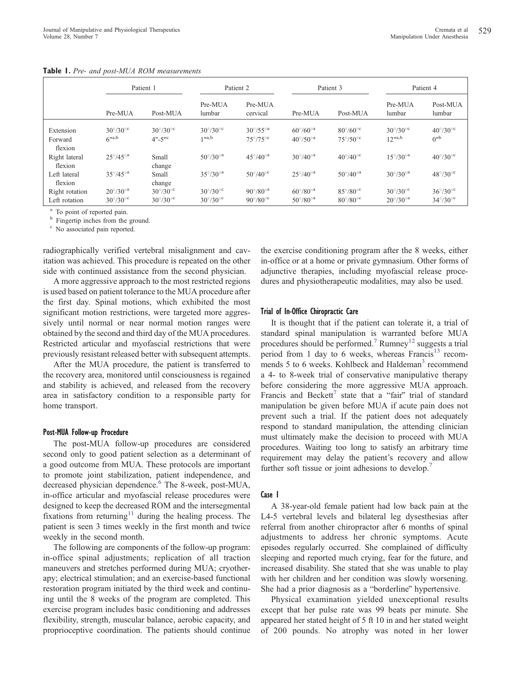|                          | Patient 1                 |                           | Patient 2                 |                           | Patient 3                 |                           | Patient 4                 |                           |
|--------------------------|---------------------------|---------------------------|---------------------------|---------------------------|---------------------------|---------------------------|---------------------------|---------------------------|
|                          | Pre-MUA                   | Post-MUA                  | Pre-MUA<br>lumbar         | Pre-MUA<br>cervical       | Pre-MUA                   | Post-MUA                  | Pre-MUA<br>lumbar         | Post-MUA<br>lumbar        |
| Extension                | $30^{\circ}/30^{\circ}$ c | $30^{\circ}/30^{\circ}$ c | $30^{\circ}/30^{\circ}$ c | $30^{\circ}/55^{\circ}$ a | $60^{\circ}/60^{\circ}$ a | $80^{\circ}/60^{\circ}$ c | $30^{\circ}/30^{\circ}$ c | $40^{\circ}/30^{\circ}$ c |
| Forward<br>flexion       | $6^{\text{na},b}$         | $4" - 5"$ <sup>c</sup>    | 1 <sup>n</sup> a,b        | $75^{\circ}/75^{\circ}$ c | $40^{\circ}/50^{\circ}$ a | $75^{\circ}/50^{\circ}$   | $12^{n^a,b}$              | 0 <sup>nb</sup>           |
| Right lateral<br>flexion | $25^{\circ}/45^{\circ}$ a | Small<br>change           | $50^{\circ}/30^{\circ}$ a | $45^{\circ}/40^{\circ a}$ | $30^{\circ}/40^{\circ}$ a | $40^{\circ}/40^{\circ}$ c | $15^{\circ}/30^{\circ a}$ | $40^{\circ}/30^{\circ}$ c |
| Left lateral             | $35^{\circ}/45^{\circ}$ a | Small                     | $35^{\circ}/30^{\circ}$ a | $50^{\circ}/40^{\circ}$ c | $25^{\circ}/40^{\circ a}$ | $50^{\circ}/40^{\circ}$ a | $30^{\circ}/30^{\circ}$ a | $48^{\circ}/30^{\circ}$ c |
| flexion                  |                           | change                    |                           |                           |                           |                           |                           |                           |
| Right rotation           | $20^{\circ}/30^{\circ}$ a | $30^{\circ}/30^{\circ}$ c | $30^{\circ}/30^{\circ}$ c | $90^{\circ}/80^{\circ}$ a | $60^{\circ}/80^{\circ}$ a | $85^{\circ}/80^{\circ}$ c | $30^{\circ}/30^{\circ}$ c | $36^{\circ}/30^{\circ}$ c |
| Left rotation            | $30^{\circ}/30^{\circ}$   | $30^{\circ}/30^{\circ}$   | $30^{\circ}/30^{\circ}$   | $90^{\circ}/80^{\circ}$   | $50^{\circ}/80^{\circ}$ a | $80^{\circ}/80^{\circ}$   | $20^{\circ}/30^{\circ}$ a | $34^{\circ}/30^{\circ}$   |

<span id="page-3-0"></span>Table 1. Pre- and post-MUA ROM measurements

<sup>a</sup> To point of reported pain.<br>
<sup>b</sup> Fingertip inches from the ground.  $\frac{c}{n}$  No associated pain reported.

radiographically verified vertebral misalignment and cavitation was achieved. This procedure is repeated on the other side with continued assistance from the second physician.

A more aggressive approach to the most restricted regions is used based on patient tolerance to the MUA procedure after the first day. Spinal motions, which exhibited the most significant motion restrictions, were targeted more aggressively until normal or near normal motion ranges were obtained by the second and third day of the MUA procedures. Restricted articular and myofascial restrictions that were previously resistant released better with subsequent attempts.

After the MUA procedure, the patient is transferred to the recovery area, monitored until consciousness is regained and stability is achieved, and released from the recovery area in satisfactory condition to a responsible party for home transport.

#### Post-MUA Follow-up Procedure

The post-MUA follow-up procedures are considered second only to good patient selection as a determinant of a good outcome from MUA. These protocols are important to promote joint stabilization, [pati](#page-7-0)ent independence, and decreased physician dependence.<sup>6</sup> The 8-week, post-MUA, in-office articular and myofascial release procedures were designed to keep the d[ecreas](#page-7-0)ed ROM and the intersegmental fixations from returning $11$  during the healing process. The patient is seen 3 times weekly in the first month and twice weekly in the second month.

The following are components of the follow-up program: in-office spinal adjustments; replication of all traction maneuvers and stretches performed during MUA; cryotherapy; electrical stimulation; and an exercise-based functional restoration program initiated by the third week and continuing until the 8 weeks of the program are completed. This exercise program includes basic conditioning and addresses flexibility, strength, muscular balance, aerobic capacity, and proprioceptive coordination. The patients should continue the exercise conditioning program after the 8 weeks, either in-office or at a home or private gymnasium. Other forms of adjunctive therapies, including myofascial release procedures and physiotherapeutic modalities, may also be used.

#### Trial of In-Office Chiropractic Care

It is thought that if the patient can tolerate it, a trial of standard spinal manipulation is warra[nted](#page-7-0) before MUA procedures should be performed.<sup>7</sup> [R](#page-7-0)umney<sup>12</sup> sugg[ests](#page-7-0) a trial period from 1 day to 6 weeks, whereas Fr[anci](#page-7-0)s<sup>13</sup> recommends 5 to 6 weeks. Kohlbeck and Haldeman<sup>3</sup> recommend a 4- to 8-week trial of conservative manipulative therapy before considering [the](#page-7-0) more aggressive MUA approach. Francis and Beckett<sup>7</sup> state that a "fair" trial of standard manipulation be given before MUA if acute pain does not prevent such a trial. If the patient does not adequately respond to standard manipulation, the attending clinician must ultimately make the decision to proceed with MUA procedures. Waiting too long to satisfy an arbitrary time requirement may delay the patient's recovery [an](#page-7-0)d allow further soft tissue or joint adhesions to develop.

## Case 1

A 38-year-old female patient had low back pain at the L4-5 vertebral levels and bilateral leg dysesthesias after referral from another chiropractor after 6 months of spinal adjustments to address her chronic symptoms. Acute episodes regularly occurred. She complained of difficulty sleeping and reported much crying, fear for the future, and increased disability. She stated that she was unable to play with her children and her condition was slowly worsening. She had a prior diagnosis as a "borderline" hypertensive.

Physical examination yielded unexceptional results except that her pulse rate was 99 beats per minute. She appeared her stated height of 5 ft 10 in and her stated weight of 200 pounds. No atrophy was noted in her lower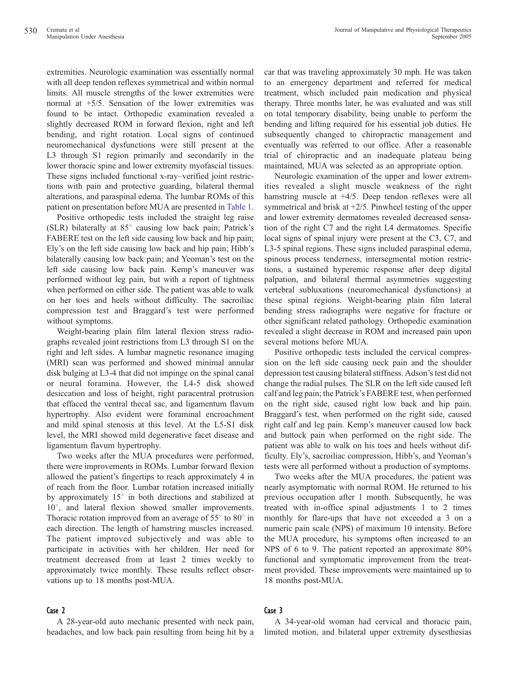extremities. Neurologic examination was essentially normal with all deep tendon reflexes symmetrical and within normal limits. All muscle strengths of the lower extremities were normal at +5/5. Sensation of the lower extremities was found to be intact. Orthopedic examination revealed a slightly decreased ROM in forward flexion, right and left bending, and right rotation. Local signs of continued neuromechanical dysfunctions were still present at the L3 through S1 region primarily and secondarily in the lower thoracic spine and lower extremity myofascial tissues. These signs included functional x-ray–verified joint restrictions with pain and protective guarding, bilateral thermal alterations, and paraspinal edema. The lumbar ROMs of this patient on presentation before MUA are presented in [Table](#page-3-0) 1.

Positive orthopedic tests included the straight leg raise (SLR) bilaterally at  $85^\circ$  causing low back pain; Patrick's FABERE test on the left side causing low back and hip pain; Ely's on the left side causing low back and hip pain; Hibb's bilaterally causing low back pain; and Yeoman's test on the left side causing low back pain. Kemp's maneuver was performed without leg pain, but with a report of tightness when performed on either side. The patient was able to walk on her toes and heels without difficulty. The sacroiliac compression test and Braggard's test were performed without symptoms.

Weight-bearing plain film lateral flexion stress radiographs revealed joint restrictions from L3 through S1 on the right and left sides. A lumbar magnetic resonance imaging (MRI) scan was performed and showed minimal annular disk bulging at L3-4 that did not impinge on the spinal canal or neural foramina. However, the L4-5 disk showed desiccation and loss of height, right paracentral protrusion that effaced the ventral thecal sac, and ligamentum flavum hypertrophy. Also evident were foraminal encroachment and mild spinal stenosis at this level. At the L5-S1 disk level, the MRI showed mild degenerative facet disease and ligamentum flavum hypertrophy.

Two weeks after the MUA procedures were performed, there were improvements in ROMs. Lumbar forward flexion allowed the patient's fingertips to reach approximately 4 in of reach from the floor. Lumbar rotation increased initially by approximately  $15^{\circ}$  in both directions and stabilized at  $10^{\circ}$ , and lateral flexion showed smaller improvements. Thoracic rotation improved from an average of  $55^{\circ}$  to  $80^{\circ}$  in each direction. The length of hamstring muscles increased. The patient improved subjectively and was able to participate in activities with her children. Her need for treatment decreased from at least 2 times weekly to approximately twice monthly. These results reflect observations up to 18 months post-MUA.

## Case 2

A 28-year-old auto mechanic presented with neck pain, headaches, and low back pain resulting from being hit by a car that was traveling approximately 30 mph. He was taken to an emergency department and referred for medical treatment, which included pain medication and physical therapy. Three months later, he was evaluated and was still on total temporary disability, being unable to perform the bending and lifting required for his essential job duties. He subsequently changed to chiropractic management and eventually was referred to our office. After a reasonable trial of chiropractic and an inadequate plateau being maintained, MUA was selected as an appropriate option.

Neurologic examination of the upper and lower extremities revealed a slight muscle weakness of the right hamstring muscle at  $+4/5$ . Deep tendon reflexes were all symmetrical and brisk at  $+2/5$ . Pinwheel testing of the upper and lower extremity dermatomes revealed decreased sensation of the right C7 and the right L4 dermatomes. Specific local signs of spinal injury were present at the C3, C7, and L3-5 spinal regions. These signs included paraspinal edema, spinous process tenderness, intersegmental motion restrictions, a sustained hyperemic response after deep digital palpation, and bilateral thermal asymmetries suggesting vertebral subluxations (neuromechanical dysfunctions) at these spinal regions. Weight-bearing plain film lateral bending stress radiographs were negative for fracture or other significant related pathology. Orthopedic examination revealed a slight decrease in ROM and increased pain upon several motions before MUA.

Positive orthopedic tests included the cervical compression on the left side causing neck pain and the shoulder depression test causing bilateral stiffness. Adson's test did not change the radial pulses. The SLR on the left side caused left calf and leg pain; the Patrick's FABERE test, when performed on the right side, caused right low back and hip pain. Braggard's test, when performed on the right side, caused right calf and leg pain. Kemp's maneuver caused low back and buttock pain when performed on the right side. The patient was able to walk on his toes and heels without difficulty. Ely's, sacroiliac compression, Hibb's, and Yeoman's tests were all performed without a production of symptoms.

Two weeks after the MUA procedures, the patient was nearly asymptomatic with normal ROM. He returned to his previous occupation after 1 month. Subsequently, he was treated with in-office spinal adjustments 1 to 2 times monthly for flare-ups that have not exceeded a 3 on a numeric pain scale (NPS) of maximum 10 intensity. Before the MUA procedure, his symptoms often increased to an NPS of 6 to 9. The patient reported an approximate 80% functional and symptomatic improvement from the treatment provided. These improvements were maintained up to 18 months post-MUA.

# Case 3

A 34-year-old woman had cervical and thoracic pain, limited motion, and bilateral upper extremity dysesthesias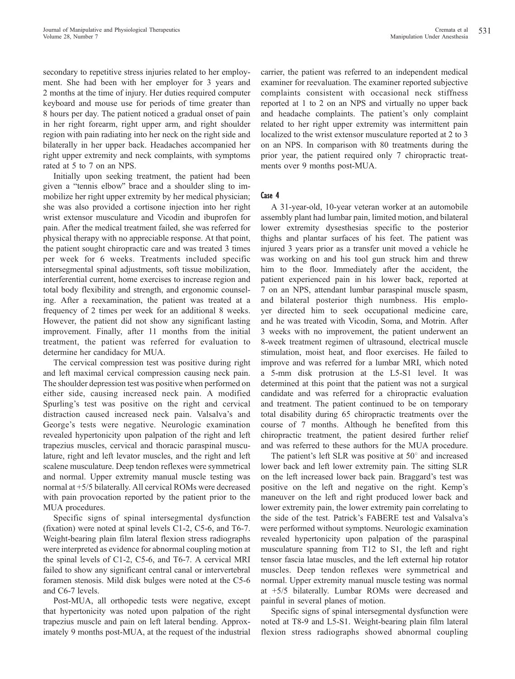secondary to repetitive stress injuries related to her employment. She had been with her employer for 3 years and 2 months at the time of injury. Her duties required computer keyboard and mouse use for periods of time greater than 8 hours per day. The patient noticed a gradual onset of pain in her right forearm, right upper arm, and right shoulder region with pain radiating into her neck on the right side and bilaterally in her upper back. Headaches accompanied her right upper extremity and neck complaints, with symptoms rated at 5 to 7 on an NPS.

Initially upon seeking treatment, the patient had been given a "tennis elbow" brace and a shoulder sling to immobilize her right upper extremity by her medical physician; she was also provided a cortisone injection into her right wrist extensor musculature and Vicodin and ibuprofen for pain. After the medical treatment failed, she was referred for physical therapy with no appreciable response. At that point, the patient sought chiropractic care and was treated 3 times per week for 6 weeks. Treatments included specific intersegmental spinal adjustments, soft tissue mobilization, interferential current, home exercises to increase region and total body flexibility and strength, and ergonomic counseling. After a reexamination, the patient was treated at a frequency of 2 times per week for an additional 8 weeks. However, the patient did not show any significant lasting improvement. Finally, after 11 months from the initial treatment, the patient was referred for evaluation to determine her candidacy for MUA.

The cervical compression test was positive during right and left maximal cervical compression causing neck pain. The shoulder depression test was positive when performed on either side, causing increased neck pain. A modified Spurling's test was positive on the right and cervical distraction caused increased neck pain. Valsalva's and George's tests were negative. Neurologic examination revealed hypertonicity upon palpation of the right and left trapezius muscles, cervical and thoracic paraspinal musculature, right and left levator muscles, and the right and left scalene musculature. Deep tendon reflexes were symmetrical and normal. Upper extremity manual muscle testing was normal at +5/5 bilaterally. All cervical ROMs were decreased with pain provocation reported by the patient prior to the MUA procedures.

Specific signs of spinal intersegmental dysfunction (fixation) were noted at spinal levels C1-2, C5-6, and T6-7. Weight-bearing plain film lateral flexion stress radiographs were interpreted as evidence for abnormal coupling motion at the spinal levels of C1-2, C5-6, and T6-7. A cervical MRI failed to show any significant central canal or intervertebral foramen stenosis. Mild disk bulges were noted at the C5-6 and C6-7 levels.

Post-MUA, all orthopedic tests were negative, except that hypertonicity was noted upon palpation of the right trapezius muscle and pain on left lateral bending. Approximately 9 months post-MUA, at the request of the industrial

carrier, the patient was referred to an independent medical examiner for reevaluation. The examiner reported subjective complaints consistent with occasional neck stiffness reported at 1 to 2 on an NPS and virtually no upper back and headache complaints. The patient's only complaint related to her right upper extremity was intermittent pain localized to the wrist extensor musculature reported at 2 to 3 on an NPS. In comparison with 80 treatments during the prior year, the patient required only 7 chiropractic treatments over 9 months post-MUA.

# Case 4

A 31-year-old, 10-year veteran worker at an automobile assembly plant had lumbar pain, limited motion, and bilateral lower extremity dysesthesias specific to the posterior thighs and plantar surfaces of his feet. The patient was injured 3 years prior as a transfer unit moved a vehicle he was working on and his tool gun struck him and threw him to the floor. Immediately after the accident, the patient experienced pain in his lower back, reported at 7 on an NPS, attendant lumbar paraspinal muscle spasm, and bilateral posterior thigh numbness. His employer directed him to seek occupational medicine care, and he was treated with Vicodin, Soma, and Motrin. After 3 weeks with no improvement, the patient underwent an 8-week treatment regimen of ultrasound, electrical muscle stimulation, moist heat, and floor exercises. He failed to improve and was referred for a lumbar MRI, which noted a 5-mm disk protrusion at the L5-S1 level. It was determined at this point that the patient was not a surgical candidate and was referred for a chiropractic evaluation and treatment. The patient continued to be on temporary total disability during 65 chiropractic treatments over the course of 7 months. Although he benefited from this chiropractic treatment, the patient desired further relief and was referred to these authors for the MUA procedure.

The patient's left SLR was positive at  $50^\circ$  and increased lower back and left lower extremity pain. The sitting SLR on the left increased lower back pain. Braggard's test was positive on the left and negative on the right. Kemp's maneuver on the left and right produced lower back and lower extremity pain, the lower extremity pain correlating to the side of the test. Patrick's FABERE test and Valsalva's were performed without symptoms. Neurologic examination revealed hypertonicity upon palpation of the paraspinal musculature spanning from T12 to S1, the left and right tensor fascia latae muscles, and the left external hip rotator muscles. Deep tendon reflexes were symmetrical and normal. Upper extremity manual muscle testing was normal at +5/5 bilaterally. Lumbar ROMs were decreased and painful in several planes of motion.

Specific signs of spinal intersegmental dysfunction were noted at T8-9 and L5-S1. Weight-bearing plain film lateral flexion stress radiographs showed abnormal coupling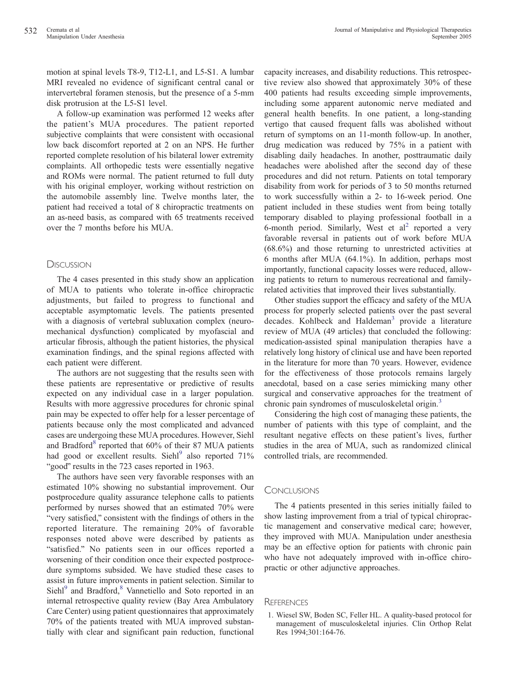<span id="page-6-0"></span>motion at spinal levels T8-9, T12-L1, and L5-S1. A lumbar MRI revealed no evidence of significant central canal or intervertebral foramen stenosis, but the presence of a 5-mm disk protrusion at the L5-S1 level.

A follow-up examination was performed 12 weeks after the patient's MUA procedures. The patient reported subjective complaints that were consistent with occasional low back discomfort reported at 2 on an NPS. He further reported complete resolution of his bilateral lower extremity complaints. All orthopedic tests were essentially negative and ROMs were normal. The patient returned to full duty with his original employer, working without restriction on the automobile assembly line. Twelve months later, the patient had received a total of 8 chiropractic treatments on an as-need basis, as compared with 65 treatments received over the 7 months before his MUA.

# **DISCUSSION**

The 4 cases presented in this study show an application of MUA to patients who tolerate in-office chiropractic adjustments, but failed to progress to functional and acceptable asymptomatic levels. The patients presented with a diagnosis of vertebral subluxation complex (neuromechanical dysfunction) complicated by myofascial and articular fibrosis, although the patient histories, the physical examination findings, and the spinal regions affected with each patient were different.

The authors are not suggesting that the results seen with these patients are representative or predictive of results expected on any individual case in a larger population. Results with more aggressive procedures for chronic spinal pain may be expected to offer help for a lesser percentage of patients because only the most complicated and advanced cases are un[dergo](#page-7-0)ing these MUA procedures. However, Siehl and Bradford<sup>8</sup> reported that  $60\%$  of [their](#page-7-0) 87 MUA patients had good or excellent results. Siehl $9$  also reported 71% "good" results in the 723 cases reported in 1963.

The authors have seen very favorable responses with an estimated 10% showing no substantial improvement. Our postprocedure quality assurance telephone calls to patients performed by nurses showed that an estimated 70% were "very satisfied," consistent with the findings of others in the reported literature. The remaining 20% of favorable responses noted above were described by patients as "satisfied." No patients seen in our offices reported a worsening of their condition once their expected postprocedure symptoms subsided. We have studied these cases to assist in future imp[rovem](#page-7-0)ents in patient selection. Similar to Si[ehl](#page-7-0)<sup>9</sup> and Bradford,<sup>8</sup> Vannetiello and Soto reported in an internal retrospective quality review (Bay Area Ambulatory Care Center) using patient questionnaires that approximately 70% of the patients treated with MUA improved substantially with clear and significant pain reduction, functional capacity increases, and disability reductions. This retrospective review also showed that approximately 30% of these 400 patients had results exceeding simple improvements, including some apparent autonomic nerve mediated and general health benefits. In one patient, a long-standing vertigo that caused frequent falls was abolished without return of symptoms on an 11-month follow-up. In another, drug medication was reduced by 75% in a patient with disabling daily headaches. In another, posttraumatic daily headaches were abolished after the second day of these procedures and did not return. Patients on total temporary disability from work for periods of 3 to 50 months returned to work successfully within a 2- to 16-week period. One patient included in these studies went from being totally temporary disabled to playing profe[ssion](#page-7-0)al football in a 6-month period. Similarly, West et  $al^2$  reported a very favorable reversal in patients out of work before MUA (68.6%) and those returning to unrestricted activities at 6 months after MUA (64.1%). In addition, perhaps most importantly, functional capacity losses were reduced, allowing patients to return to numerous recreational and familyrelated activities that improved their lives substantially.

Other studies support the efficacy and safety of the MUA process for properly selected pati[ents](#page-7-0) over the past several decades. Kohlbeck and Haldeman<sup>3</sup> provide a literature review of MUA (49 articles) that concluded the following: medication-assisted spinal manipulation therapies have a relatively long history of clinical use and have been reported in the literature for more than 70 years. However, evidence for the effectiveness of those protocols remains largely anecdotal, based on a case series mimicking many other surgical and conservative approaches for the t[reatm](#page-7-0)ent of chronic pain syndromes of musculoskeletal origin.<sup>3</sup>

Considering the high cost of managing these patients, the number of patients with this type of complaint, and the resultant negative effects on these patient's lives, further studies in the area of MUA, such as randomized clinical controlled trials, are recommended.

# **CONCLUSIONS**

The 4 patients presented in this series initially failed to show lasting improvement from a trial of typical chiropractic management and conservative medical care; however, they improved with MUA. Manipulation under anesthesia may be an effective option for patients with chronic pain who have not adequately improved with in-office chiropractic or other adjunctive approaches.

# **REFERENCES**

1. Wiesel SW, Boden SC, Feller HL. A quality-based protocol for management of musculoskeletal injuries. Clin Orthop Relat Res 1994;301:164-76.